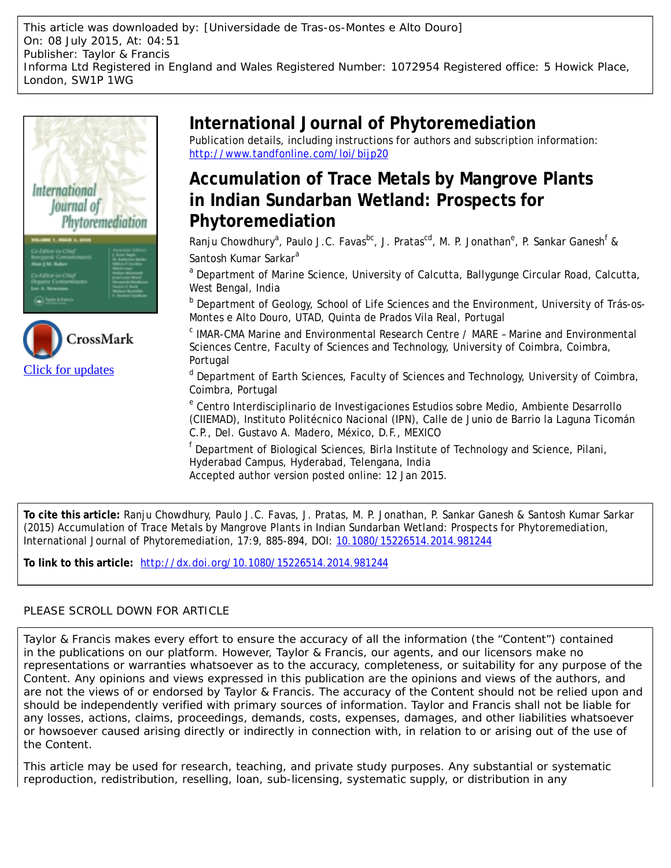This article was downloaded by: [Universidade de Tras-os-Montes e Alto Douro] On: 08 July 2015, At: 04:51 Publisher: Taylor & Francis Informa Ltd Registered in England and Wales Registered Number: 1072954 Registered office: 5 Howick Place, London, SW1P 1WG





## **International Journal of Phytoremediation**

Publication details, including instructions for authors and subscription information: <http://www.tandfonline.com/loi/bijp20>

## **Accumulation of Trace Metals by Mangrove Plants in Indian Sundarban Wetland: Prospects for Phytoremediation**

Ranju Chowdhury<sup>a</sup>, Paulo J.C. Favas<sup>bc</sup>, J. Pratas<sup>cd</sup>, M. P. Jonathan<sup>e</sup>, P. Sankar Ganesh<sup>f</sup> & Santosh Kumar Sarkar<sup>a</sup>

<sup>a</sup> Department of Marine Science, University of Calcutta, Ballygunge Circular Road, Calcutta, West Bengal, India

**b** Department of Geology, School of Life Sciences and the Environment, University of Trás-os-Montes e Alto Douro, UTAD, Quinta de Prados Vila Real, Portugal

 $\textdegree$  IMAR-CMA Marine and Environmental Research Centre / MARE - Marine and Environmental Sciences Centre, Faculty of Sciences and Technology, University of Coimbra, Coimbra, Portugal

<sup>d</sup> Department of Earth Sciences, Faculty of Sciences and Technology, University of Coimbra, Coimbra, Portugal

<sup>e</sup> Centro Interdisciplinario de Investigaciones Estudios sobre Medio, Ambiente Desarrollo (CIIEMAD), Instituto Politécnico Nacional (IPN), Calle de Junio de Barrio la Laguna Ticomán C.P., Del. Gustavo A. Madero, México, D.F., MEXICO

<sup>f</sup> Department of Biological Sciences, Birla Institute of Technology and Science, Pilani, Hyderabad Campus, Hyderabad, Telengana, India Accepted author version posted online: 12 Jan 2015.

**To cite this article:** Ranju Chowdhury, Paulo J.C. Favas, J. Pratas, M. P. Jonathan, P. Sankar Ganesh & Santosh Kumar Sarkar (2015) Accumulation of Trace Metals by Mangrove Plants in Indian Sundarban Wetland: Prospects for Phytoremediation, International Journal of Phytoremediation, 17:9, 885-894, DOI: [10.1080/15226514.2014.981244](http://www.tandfonline.com/action/showCitFormats?doi=10.1080/15226514.2014.981244)

**To link to this article:** <http://dx.doi.org/10.1080/15226514.2014.981244>

### PLEASE SCROLL DOWN FOR ARTICLE

Taylor & Francis makes every effort to ensure the accuracy of all the information (the "Content") contained in the publications on our platform. However, Taylor & Francis, our agents, and our licensors make no representations or warranties whatsoever as to the accuracy, completeness, or suitability for any purpose of the Content. Any opinions and views expressed in this publication are the opinions and views of the authors, and are not the views of or endorsed by Taylor & Francis. The accuracy of the Content should not be relied upon and should be independently verified with primary sources of information. Taylor and Francis shall not be liable for any losses, actions, claims, proceedings, demands, costs, expenses, damages, and other liabilities whatsoever or howsoever caused arising directly or indirectly in connection with, in relation to or arising out of the use of the Content.

This article may be used for research, teaching, and private study purposes. Any substantial or systematic reproduction, redistribution, reselling, loan, sub-licensing, systematic supply, or distribution in any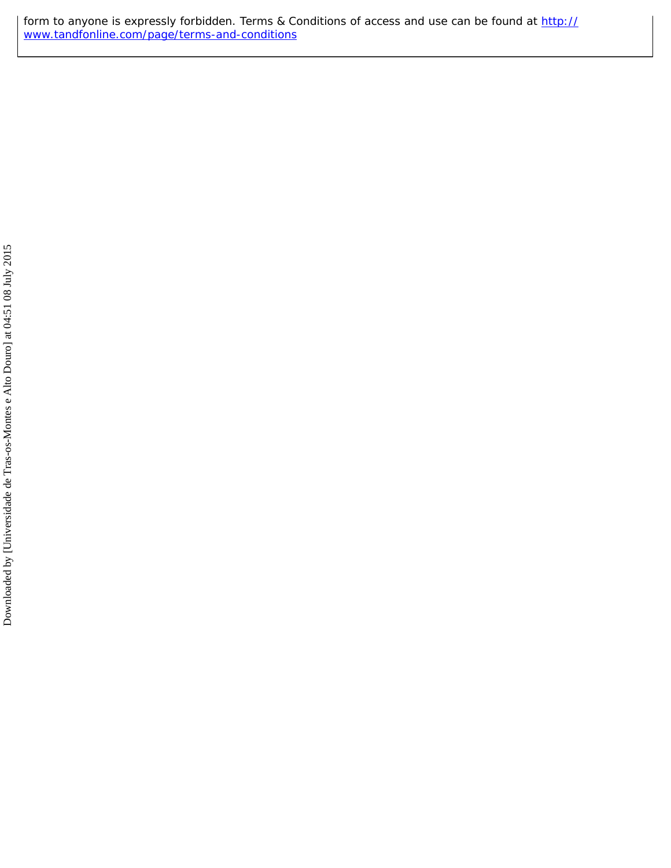form to anyone is expressly forbidden. Terms & Conditions of access and use can be found at [http://](http://www.tandfonline.com/page/terms-and-conditions) [www.tandfonline.com/page/terms-and-conditions](http://www.tandfonline.com/page/terms-and-conditions)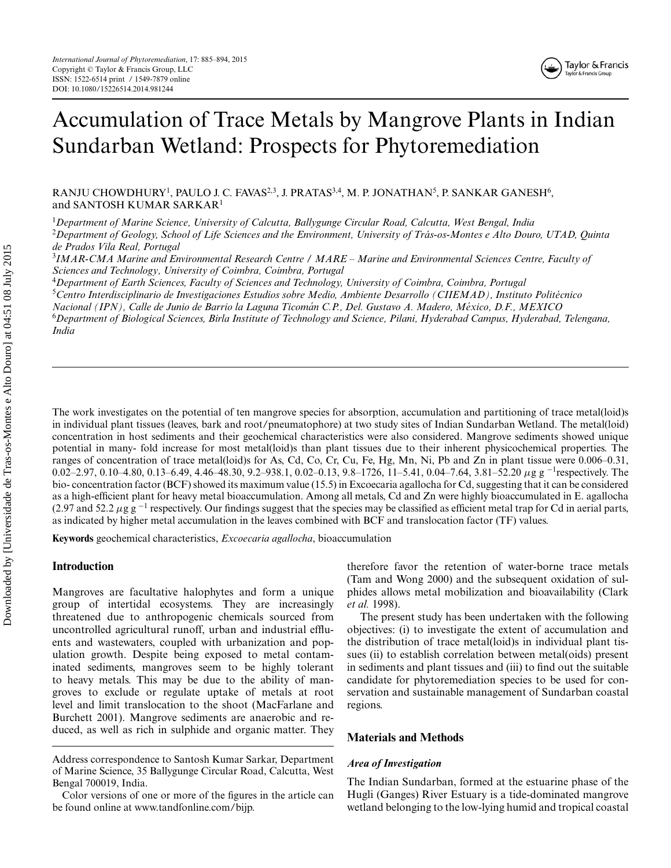

# Accumulation of Trace Metals by Mangrove Plants in Indian Sundarban Wetland: Prospects for Phytoremediation

RANJU CHOWDHURY<sup>1</sup>, PAULO J. C. FAVAS $^{2,3},$  J. PRATAS $^{3,4},$  M. P. JONATHAN $^5$ , P. SANKAR GANESH $^6,$ and SANTOSH KUMAR SARKAR<sup>1</sup>

1 *Department of Marine Science, University of Calcutta, Ballygunge Circular Road, Calcutta, West Bengal, India*

2 *Department of Geology, School of Life Sciences and the Environment, University of Tras-os-Montes e Alto Douro, UTAD, Quinta ´ de Prados Vila Real, Portugal*

3 *IMAR-CMA Marine and Environmental Research Centre / MARE – Marine and Environmental Sciences Centre, Faculty of Sciences and Technology, University of Coimbra, Coimbra, Portugal*

4 *Department of Earth Sciences, Faculty of Sciences and Technology, University of Coimbra, Coimbra, Portugal*

5 *Centro Interdisciplinario de Investigaciones Estudios sobre Medio, Ambiente Desarrollo (CIIEMAD), Instituto Politecnico ´*

*Nacional (IPN), Calle de Junio de Barrio la Laguna Ticoman C.P., Del. Gustavo A. Madero, M ´ exico, D.F., MEXICO ´*

6 *Department of Biological Sciences, Birla Institute of Technology and Science, Pilani, Hyderabad Campus, Hyderabad, Telengana, India*

The work investigates on the potential of ten mangrove species for absorption, accumulation and partitioning of trace metal(loid)s in individual plant tissues (leaves, bark and root/pneumatophore) at two study sites of Indian Sundarban Wetland. The metal(loid) concentration in host sediments and their geochemical characteristics were also considered. Mangrove sediments showed unique potential in many- fold increase for most metal(loid)s than plant tissues due to their inherent physicochemical properties. The ranges of concentration of trace metal(loid)s for As, Cd, Co, Cr, Cu, Fe, Hg, Mn, Ni, Pb and Zn in plant tissue were 0.006–0.31, 0.02–2.97, 0.10–4.80, 0.13–6.49, 4.46–48.30, 9.2–938.1, 0.02–0.13, 9.8–1726, 11–5.41, 0.04–7.64, 3.81–52.20 µg g<sup>-1</sup>respectively. The bio- concentration factor (BCF) showed its maximum value (15.5) in Excoecaria agallocha for Cd, suggesting that it can be considered as a high-efficient plant for heavy metal bioaccumulation. Among all metals, Cd and Zn were highly bioaccumulated in E. agallocha (2.97 and 52.2  $\mu$ g g<sup>-1</sup> respectively. Our findings suggest that the species may be classified as efficient metal trap for Cd in aerial parts, as indicated by higher metal accumulation in the leaves combined with BCF and translocation factor (TF) values.

**Keywords** geochemical characteristics, *Excoecaria agallocha*, bioaccumulation

#### **Introduction**

Mangroves are facultative halophytes and form a unique group of intertidal ecosystems. They are increasingly threatened due to anthropogenic chemicals sourced from uncontrolled agricultural runoff, urban and industrial effluents and wastewaters, coupled with urbanization and population growth. Despite being exposed to metal contaminated sediments, mangroves seem to be highly tolerant to heavy metals. This may be due to the ability of mangroves to exclude or regulate uptake of metals at root level and limit translocation to the shoot (MacFarlane and Burchett 2001). Mangrove sediments are anaerobic and reduced, as well as rich in sulphide and organic matter. They

therefore favor the retention of water-borne trace metals (Tam and Wong 2000) and the subsequent oxidation of sulphides allows metal mobilization and bioavailability (Clark *et al.* 1998).

The present study has been undertaken with the following objectives: (i) to investigate the extent of accumulation and the distribution of trace metal(loid)s in individual plant tissues (ii) to establish correlation between metal(oids) present in sediments and plant tissues and (iii) to find out the suitable candidate for phytoremediation species to be used for conservation and sustainable management of Sundarban coastal regions.

#### **Materials and Methods**

#### *Area of Investigation*

The Indian Sundarban, formed at the estuarine phase of the Hugli (Ganges) River Estuary is a tide-dominated mangrove wetland belonging to the low-lying humid and tropical coastal

Address correspondence to Santosh Kumar Sarkar, Department of Marine Science, 35 Ballygunge Circular Road, Calcutta, West Bengal 700019, India.

Color versions of one or more of the figures in the article can be found online at www.tandfonline.com/bijp.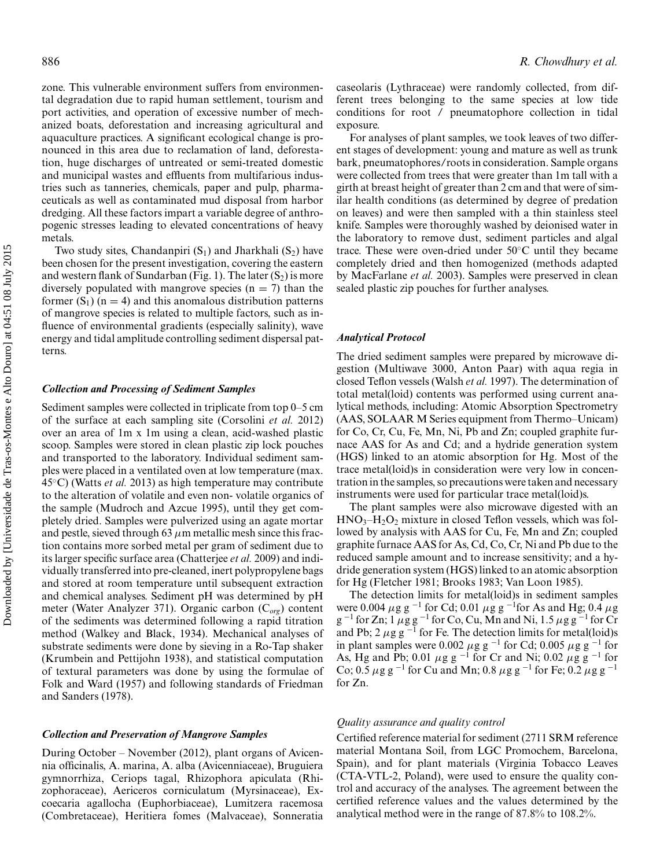zone. This vulnerable environment suffers from environmental degradation due to rapid human settlement, tourism and port activities, and operation of excessive number of mechanized boats, deforestation and increasing agricultural and aquaculture practices. A significant ecological change is pronounced in this area due to reclamation of land, deforestation, huge discharges of untreated or semi-treated domestic and municipal wastes and effluents from multifarious industries such as tanneries, chemicals, paper and pulp, pharmaceuticals as well as contaminated mud disposal from harbor dredging. All these factors impart a variable degree of anthropogenic stresses leading to elevated concentrations of heavy metals.

Two study sites, Chandanpiri  $(S_1)$  and Jharkhali  $(S_2)$  have been chosen for the present investigation, covering the eastern and western flank of Sundarban (Fig. 1). The later  $(S_2)$  is more diversely populated with mangrove species  $(n = 7)$  than the former  $(S_1)$  (n = 4) and this anomalous distribution patterns of mangrove species is related to multiple factors, such as influence of environmental gradients (especially salinity), wave energy and tidal amplitude controlling sediment dispersal patterns.

#### *Collection and Processing of Sediment Samples*

Sediment samples were collected in triplicate from top 0–5 cm of the surface at each sampling site (Corsolini *et al.* 2012) over an area of 1m x 1m using a clean, acid-washed plastic scoop. Samples were stored in clean plastic zip lock pouches and transported to the laboratory. Individual sediment samples were placed in a ventilated oven at low temperature (max. 45◦C) (Watts *et al.* 2013) as high temperature may contribute to the alteration of volatile and even non- volatile organics of the sample (Mudroch and Azcue 1995), until they get completely dried. Samples were pulverized using an agate mortar and pestle, sieved through 63  $\mu$ m metallic mesh since this fraction contains more sorbed metal per gram of sediment due to its larger specific surface area (Chatterjee *et al.* 2009) and individually transferred into pre-cleaned, inert polypropylene bags and stored at room temperature until subsequent extraction and chemical analyses. Sediment pH was determined by pH meter (Water Analyzer 371). Organic carbon (C*org*) content of the sediments was determined following a rapid titration method (Walkey and Black, 1934). Mechanical analyses of substrate sediments were done by sieving in a Ro-Tap shaker (Krumbein and Pettijohn 1938), and statistical computation of textural parameters was done by using the formulae of Folk and Ward (1957) and following standards of Friedman and Sanders (1978).

#### *Collection and Preservation of Mangrove Samples*

During October – November (2012), plant organs of Avicennia officinalis, A. marina, A. alba (Avicenniaceae), Bruguiera gymnorrhiza, Ceriops tagal, Rhizophora apiculata (Rhizophoraceae), Aericeros corniculatum (Myrsinaceae), Excoecaria agallocha (Euphorbiaceae), Lumitzera racemosa (Combretaceae), Heritiera fomes (Malvaceae), Sonneratia

caseolaris (Lythraceae) were randomly collected, from different trees belonging to the same species at low tide conditions for root / pneumatophore collection in tidal exposure.

For analyses of plant samples, we took leaves of two different stages of development: young and mature as well as trunk bark, pneumatophores/roots in consideration. Sample organs were collected from trees that were greater than 1m tall with a girth at breast height of greater than 2 cm and that were of similar health conditions (as determined by degree of predation on leaves) and were then sampled with a thin stainless steel knife. Samples were thoroughly washed by deionised water in the laboratory to remove dust, sediment particles and algal trace. These were oven-dried under 50◦C until they became completely dried and then homogenized (methods adapted by MacFarlane *et al.* 2003). Samples were preserved in clean sealed plastic zip pouches for further analyses.

#### *Analytical Protocol*

The dried sediment samples were prepared by microwave digestion (Multiwave 3000, Anton Paar) with aqua regia in closed Teflon vessels (Walsh *et al.* 1997). The determination of total metal(loid) contents was performed using current analytical methods, including: Atomic Absorption Spectrometry (AAS, SOLAAR M Series equipment from Thermo–Unicam) for Co, Cr, Cu, Fe, Mn, Ni, Pb and Zn; coupled graphite furnace AAS for As and Cd; and a hydride generation system (HGS) linked to an atomic absorption for Hg. Most of the trace metal(loid)s in consideration were very low in concentration in the samples, so precautions were taken and necessary instruments were used for particular trace metal(loid)s.

The plant samples were also microwave digested with an  $HNO<sub>3</sub>–H<sub>2</sub>O<sub>2</sub>$  mixture in closed Teflon vessels, which was followed by analysis with AAS for Cu, Fe, Mn and Zn; coupled graphite furnace AAS for As, Cd, Co, Cr, Ni and Pb due to the reduced sample amount and to increase sensitivity; and a hydride generation system (HGS) linked to an atomic absorption for Hg (Fletcher 1981; Brooks 1983; Van Loon 1985).

The detection limits for metal(loid)s in sediment samples were 0.004 *µ*g g <sup>−</sup><sup>1</sup> for Cd; 0.01 *µ*g g <sup>−</sup><sup>1</sup> for As and Hg; 0.4 *µ*g g <sup>−</sup><sup>1</sup> for Zn; 1 *µ*g g <sup>−</sup><sup>1</sup> for Co, Cu, Mn and Ni, 1.5 *µ*g g <sup>−</sup><sup>1</sup> for Cr and Pb; 2  $\mu$ g g<sup>-1</sup> for Fe. The detection limits for metal(loid)s in plant samples were 0.002  $\mu$ g g<sup>-1</sup> for Cd; 0.005  $\mu$ g g<sup>-1</sup> for As, Hg and Pb; 0.01 *µ*g g <sup>−</sup><sup>1</sup> for Cr and Ni; 0.02 *µ*g g <sup>−</sup><sup>1</sup> for Co; 0.5 *µ*g g <sup>−</sup><sup>1</sup> for Cu and Mn; 0.8 *µ*g g <sup>−</sup><sup>1</sup> for Fe; 0.2 *µ*g g <sup>−</sup><sup>1</sup> for Zn.

#### *Quality assurance and quality control*

Certified reference material for sediment (2711 SRM reference material Montana Soil, from LGC Promochem, Barcelona, Spain), and for plant materials (Virginia Tobacco Leaves (CTA-VTL-2, Poland), were used to ensure the quality control and accuracy of the analyses. The agreement between the certified reference values and the values determined by the analytical method were in the range of 87.8% to 108.2%.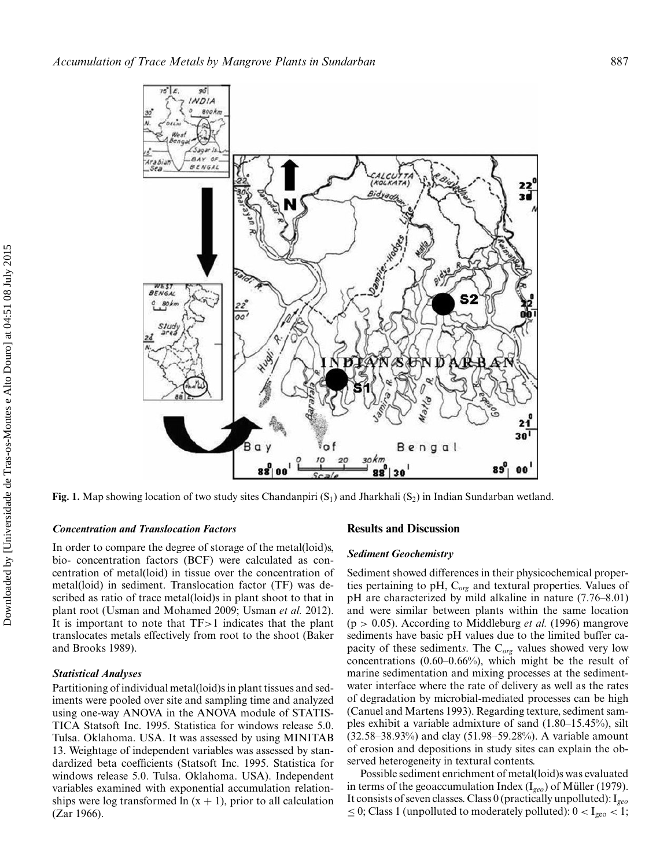

**Fig. 1.** Map showing location of two study sites Chandanpiri (S<sub>1</sub>) and Jharkhali (S<sub>2</sub>) in Indian Sundarban wetland.

#### *Concentration and Translocation Factors*

In order to compare the degree of storage of the metal(loid)s, bio- concentration factors (BCF) were calculated as concentration of metal(loid) in tissue over the concentration of metal(loid) in sediment. Translocation factor (TF) was described as ratio of trace metal(loid)s in plant shoot to that in plant root (Usman and Mohamed 2009; Usman *et al.* 2012). It is important to note that TF*>*1 indicates that the plant translocates metals effectively from root to the shoot (Baker and Brooks 1989).

#### *Statistical Analyses*

Partitioning of individual metal(loid)s in plant tissues and sediments were pooled over site and sampling time and analyzed using one-way ANOVA in the ANOVA module of STATIS-TICA Statsoft Inc. 1995. Statistica for windows release 5.0. Tulsa. Oklahoma. USA. It was assessed by using MINITAB 13. Weightage of independent variables was assessed by standardized beta coefficients (Statsoft Inc. 1995. Statistica for windows release 5.0. Tulsa. Oklahoma. USA). Independent variables examined with exponential accumulation relationships were log transformed  $ln(x + 1)$ , prior to all calculation (Zar 1966).

#### **Results and Discussion**

#### *Sediment Geochemistry*

Sediment showed differences in their physicochemical properties pertaining to pH, C*org* and textural properties. Values of pH are characterized by mild alkaline in nature (7.76–8.01) and were similar between plants within the same location (p *>* 0.05). According to Middleburg *et al.* (1996) mangrove sediments have basic pH values due to the limited buffer capacity of these sediment*s*. The C*org* values showed very low concentrations  $(0.60-0.66\%)$ , which might be the result of marine sedimentation and mixing processes at the sedimentwater interface where the rate of delivery as well as the rates of degradation by microbial-mediated processes can be high (Canuel and Martens 1993). Regarding texture, sediment samples exhibit a variable admixture of sand (1.80–15.45%), silt (32.58–38.93%) and clay (51.98–59.28%). A variable amount of erosion and depositions in study sites can explain the observed heterogeneity in textural contents.

Possible sediment enrichment of metal(loid)s was evaluated in terms of the geoaccumulation Index (I<sub>geo</sub>) of Müller (1979). It consists of seven classes. Class 0 (practically unpolluted): I*geo* ≤ 0; Class 1 (unpolluted to moderately polluted):  $0 < I_{geo} < 1$ ;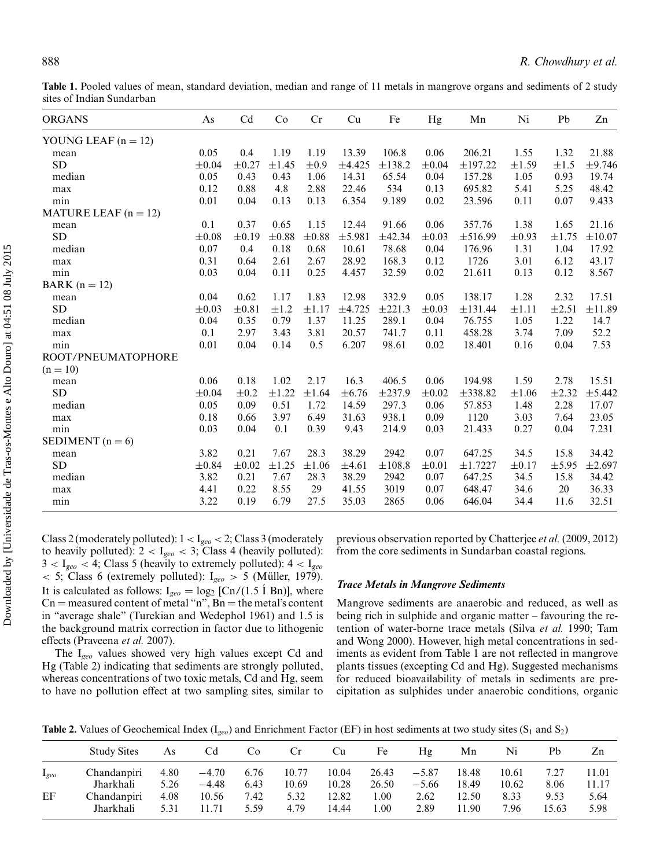**Table 1.** Pooled values of mean, standard deviation, median and range of 11 metals in mangrove organs and sediments of 2 study sites of Indian Sundarban

| <b>ORGANS</b>          | As         | Cd         | Co         | Cr         | Cu         | Fe     | Hg         | Mn           | Ni         | Pb         | Zn          |
|------------------------|------------|------------|------------|------------|------------|--------|------------|--------------|------------|------------|-------------|
| YOUNG LEAF $(n = 12)$  |            |            |            |            |            |        |            |              |            |            |             |
| mean                   | 0.05       | 0.4        | 1.19       | 1.19       | 13.39      | 106.8  | 0.06       | 206.21       | 1.55       | 1.32       | 21.88       |
| <b>SD</b>              | $\pm 0.04$ | $\pm 0.27$ | $\pm 1.45$ | $\pm 0.9$  | ±4.425     | ±138.2 | $\pm 0.04$ | ±197.22      | $\pm 1.59$ | $\pm 1.5$  | ±9.746      |
| median                 | 0.05       | 0.43       | 0.43       | 1.06       | 14.31      | 65.54  | 0.04       | 157.28       | 1.05       | 0.93       | 19.74       |
| max                    | 0.12       | 0.88       | 4.8        | 2.88       | 22.46      | 534    | 0.13       | 695.82       | 5.41       | 5.25       | 48.42       |
| min                    | 0.01       | 0.04       | 0.13       | 0.13       | 6.354      | 9.189  | 0.02       | 23.596       | 0.11       | 0.07       | 9.433       |
| MATURE LEAF $(n = 12)$ |            |            |            |            |            |        |            |              |            |            |             |
| mean                   | 0.1        | 0.37       | 0.65       | 1.15       | 12.44      | 91.66  | 0.06       | 357.76       | 1.38       | 1.65       | 21.16       |
| <b>SD</b>              | $\pm 0.08$ | $\pm 0.19$ | $\pm 0.88$ | $\pm 0.88$ | ±5.981     | ±42.34 | $\pm 0.03$ | ±516.99      | $\pm 0.93$ | ±1.75      | $\pm 10.07$ |
| median                 | 0.07       | 0.4        | 0.18       | 0.68       | 10.61      | 78.68  | 0.04       | 176.96       | 1.31       | 1.04       | 17.92       |
| max                    | 0.31       | 0.64       | 2.61       | 2.67       | 28.92      | 168.3  | 0.12       | 1726         | 3.01       | 6.12       | 43.17       |
| min                    | 0.03       | 0.04       | 0.11       | 0.25       | 4.457      | 32.59  | 0.02       | 21.611       | 0.13       | 0.12       | 8.567       |
| BARK $(n = 12)$        |            |            |            |            |            |        |            |              |            |            |             |
| mean                   | 0.04       | 0.62       | 1.17       | 1.83       | 12.98      | 332.9  | 0.05       | 138.17       | 1.28       | 2.32       | 17.51       |
| SD                     | $\pm 0.03$ | $\pm 0.81$ | $\pm 1.2$  | $\pm 1.17$ | ±4.725     | ±221.3 | $\pm 0.03$ | ±131.44      | $\pm 1.11$ | $\pm 2.51$ | ±11.89      |
| median                 | 0.04       | 0.35       | 0.79       | 1.37       | 11.25      | 289.1  | 0.04       | 76.755       | 1.05       | 1.22       | 14.7        |
| max                    | 0.1        | 2.97       | 3.43       | 3.81       | 20.57      | 741.7  | 0.11       | 458.28       | 3.74       | 7.09       | 52.2        |
| min                    | 0.01       | 0.04       | 0.14       | 0.5        | 6.207      | 98.61  | 0.02       | 18.401       | 0.16       | 0.04       | 7.53        |
| ROOT/PNEUMATOPHORE     |            |            |            |            |            |        |            |              |            |            |             |
| $(n = 10)$             |            |            |            |            |            |        |            |              |            |            |             |
| mean                   | 0.06       | 0.18       | 1.02       | 2.17       | 16.3       | 406.5  | 0.06       | 194.98       | 1.59       | 2.78       | 15.51       |
| <b>SD</b>              | $\pm 0.04$ | $\pm 0.2$  | $\pm 1.22$ | $\pm 1.64$ | $\pm 6.76$ | ±237.9 | $\pm 0.02$ | $\pm$ 338.82 | $\pm 1.06$ | $\pm 2.32$ | ±5.442      |
| median                 | 0.05       | 0.09       | 0.51       | 1.72       | 14.59      | 297.3  | 0.06       | 57.853       | 1.48       | 2.28       | 17.07       |
| max                    | 0.18       | 0.66       | 3.97       | 6.49       | 31.63      | 938.1  | 0.09       | 1120         | 3.03       | 7.64       | 23.05       |
| min                    | 0.03       | 0.04       | 0.1        | 0.39       | 9.43       | 214.9  | 0.03       | 21.433       | 0.27       | 0.04       | 7.231       |
| SEDIMENT $(n = 6)$     |            |            |            |            |            |        |            |              |            |            |             |
| mean                   | 3.82       | 0.21       | 7.67       | 28.3       | 38.29      | 2942   | 0.07       | 647.25       | 34.5       | 15.8       | 34.42       |
| <b>SD</b>              | $\pm 0.84$ | $\pm 0.02$ | $\pm 1.25$ | $\pm 1.06$ | $\pm 4.61$ | ±108.8 | $\pm 0.01$ | ±1.7227      | $\pm 0.17$ | $\pm$ 5.95 | $\pm 2.697$ |
| median                 | 3.82       | 0.21       | 7.67       | 28.3       | 38.29      | 2942   | 0.07       | 647.25       | 34.5       | 15.8       | 34.42       |
| max                    | 4.41       | 0.22       | 8.55       | 29         | 41.55      | 3019   | 0.07       | 648.47       | 34.6       | 20         | 36.33       |
| min                    | 3.22       | 0.19       | 6.79       | 27.5       | 35.03      | 2865   | 0.06       | 646.04       | 34.4       | 11.6       | 32.51       |
|                        |            |            |            |            |            |        |            |              |            |            |             |

Class 2 (moderately polluted): 1 *<* I*geo <* 2; Class 3 (moderately to heavily polluted):  $2 < I_{geo} < 3$ ; Class 4 (heavily polluted): 3 *<* I*geo <* 4; Class 5 (heavily to extremely polluted): 4 *<* I*geo <* 5; Class 6 (extremely polluted): I*geo >* 5 (Muller, 1979). ¨ It is calculated as follows:  $I_{geo} = log_2 [Cn/(1.5 \text{ I Bn})]$ , where  $Cn =$  measured content of metal "n",  $Bn =$  the metal's content in "average shale" (Turekian and Wedephol 1961) and 1.5 is the background matrix correction in factor due to lithogenic effects (Praveena *et al.* 2007).

The I*geo* values showed very high values except Cd and Hg (Table 2) indicating that sediments are strongly polluted, whereas concentrations of two toxic metals, Cd and Hg, seem to have no pollution effect at two sampling sites, similar to

previous observation reported by Chatterjee *et al.* (2009, 2012) from the core sediments in Sundarban coastal regions.

#### *Trace Metals in Mangrove Sediments*

Mangrove sediments are anaerobic and reduced, as well as being rich in sulphide and organic matter – favouring the retention of water-borne trace metals (Silva *et al.* 1990; Tam and Wong 2000). However, high metal concentrations in sediments as evident from Table 1 are not reflected in mangrove plants tissues (excepting Cd and Hg). Suggested mechanisms for reduced bioavailability of metals in sediments are precipitation as sulphides under anaerobic conditions, organic

**Table 2.** Values of Geochemical Index ( $I_{geo}$ ) and Enrichment Factor (EF) in host sediments at two study sites ( $S_1$  and  $S_2$ )

|           | <b>Study Sites</b> | As   | Cd      | Co   | Cr    | Cu    | Fe    | Hg      | Mn    | Ni    | Pb    | Zn    |
|-----------|--------------------|------|---------|------|-------|-------|-------|---------|-------|-------|-------|-------|
| $I_{geo}$ | Chandanpiri        | 4.80 | $-4.70$ | 6.76 | 10.77 | 10.04 | 26.43 | $-5.87$ | 18.48 | 10.61 | 7.27  | 11.01 |
|           | Jharkhali          | 5.26 | $-4.48$ | 6.43 | 10.69 | 10.28 | 26.50 | $-5.66$ | 18.49 | 10.62 | 8.06  | 11.17 |
| EF        | Chandanpiri        | 4.08 | 10.56   | 7.42 | 5.32  | 12.82 | .00.  | 2.62    | 12.50 | 8.33  | 9.53  | 5.64  |
|           | Jharkhali          | 5.31 | 11 71   | 5.59 | 4.79  | 14.44 | .00   | 2.89    | 11.90 | 7.96  | 15.63 | 5.98  |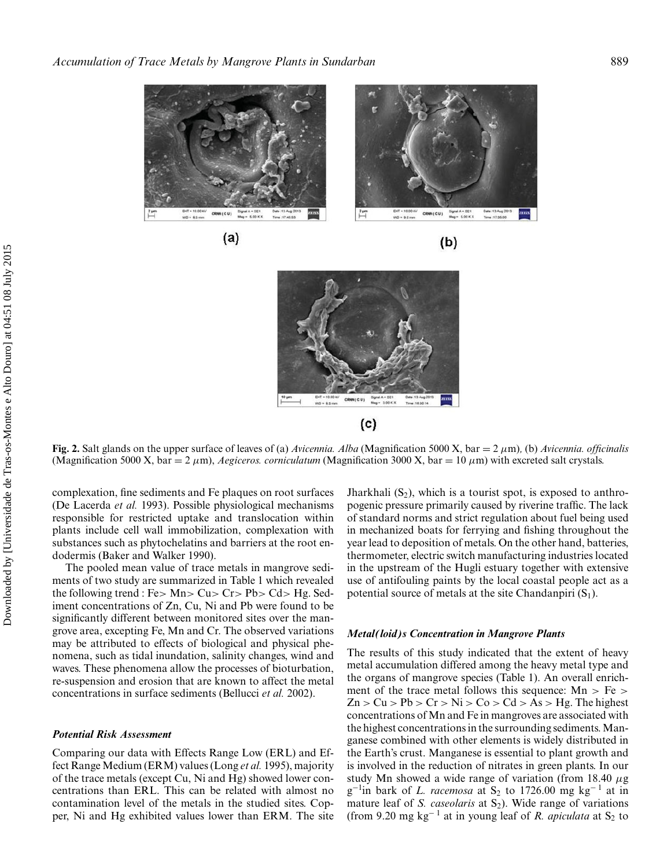

 $(a)$ 





**Fig. 2.** Salt glands on the upper surface of leaves of (a) *Avicennia. Alba* (Magnification 5000 X, bar = 2 *µ*m)*,* (b) *Avicennia. officinalis* (Magnification 5000 X, bar = 2  $\mu$ m), *Aegiceros. corniculatum* (Magnification 3000 X, bar = 10  $\mu$ m) with excreted salt crystals.

complexation, fine sediments and Fe plaques on root surfaces (De Lacerda *et al.* 1993). Possible physiological mechanisms responsible for restricted uptake and translocation within plants include cell wall immobilization, complexation with substances such as phytochelatins and barriers at the root endodermis (Baker and Walker 1990).

The pooled mean value of trace metals in mangrove sediments of two study are summarized in Table 1 which revealed the following trend : Fe*>* Mn*>* Cu*>* Cr*>* Pb*>* Cd*>* Hg. Sediment concentrations of Zn, Cu, Ni and Pb were found to be significantly different between monitored sites over the mangrove area, excepting Fe, Mn and Cr. The observed variations may be attributed to effects of biological and physical phenomena, such as tidal inundation, salinity changes, wind and waves. These phenomena allow the processes of bioturbation, re-suspension and erosion that are known to affect the metal concentrations in surface sediments (Bellucci *et al.* 2002).

#### *Potential Risk Assessment*

Comparing our data with Effects Range Low (ERL) and Effect Range Medium (ERM) values (Long *et al.* 1995), majority of the trace metals (except Cu, Ni and Hg) showed lower concentrations than ERL. This can be related with almost no contamination level of the metals in the studied sites. Copper, Ni and Hg exhibited values lower than ERM. The site

Jharkhali  $(S_2)$ , which is a tourist spot, is exposed to anthropogenic pressure primarily caused by riverine traffic. The lack of standard norms and strict regulation about fuel being used in mechanized boats for ferrying and fishing throughout the year lead to deposition of metals. On the other hand, batteries, thermometer, electric switch manufacturing industries located in the upstream of the Hugli estuary together with extensive use of antifouling paints by the local coastal people act as a potential source of metals at the site Chandanpiri  $(S_1)$ .

#### *Metal(loid)s Concentration in Mangrove Plants*

The results of this study indicated that the extent of heavy metal accumulation differed among the heavy metal type and the organs of mangrove species (Table 1). An overall enrichment of the trace metal follows this sequence: Mn *>* Fe *>*  $Zn > Cu > Pb > Cr > Ni > Co > Cd > As > He$ . The highest concentrations of Mn and Fe in mangroves are associated with the highest concentrations in the surrounding sediments.Manganese combined with other elements is widely distributed in the Earth's crust. Manganese is essential to plant growth and is involved in the reduction of nitrates in green plants. In our study Mn showed a wide range of variation (from 18.40 *µ*g g<sup>-1</sup>in bark of *L. racemosa* at S<sub>2</sub> to 1726.00 mg kg<sup>-1</sup> at in mature leaf of *S. caseolaris* at S<sub>2</sub>). Wide range of variations (from 9.20 mg kg<sup>-1</sup> at in young leaf of *R. apiculata* at  $S_2$  to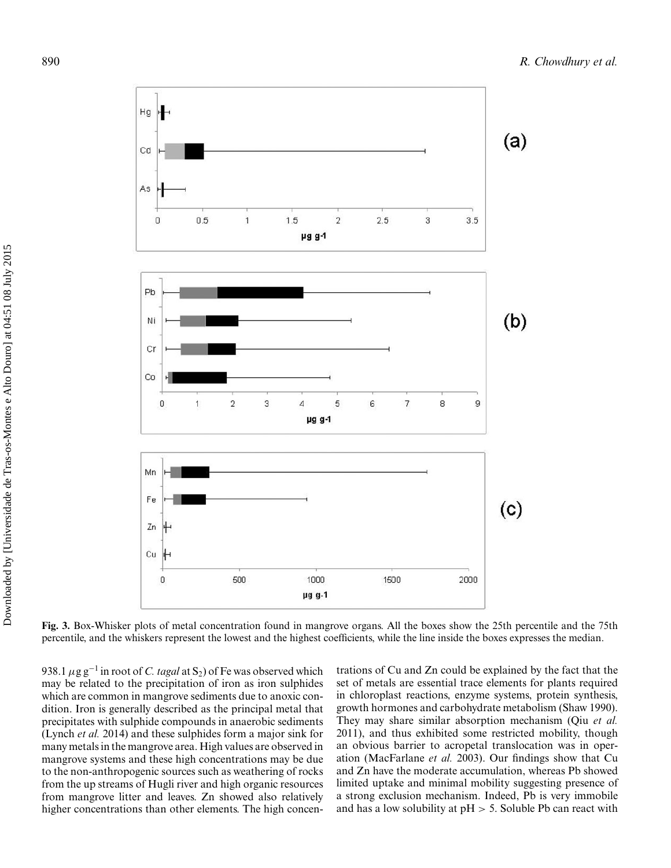

**Fig. 3.** Box-Whisker plots of metal concentration found in mangrove organs. All the boxes show the 25th percentile and the 75th percentile, and the whiskers represent the lowest and the highest coefficients, while the line inside the boxes expresses the median.

938.1  $\mu$ g g<sup>-1</sup> in root of *C. tagal* at S<sub>2</sub>) of Fe was observed which may be related to the precipitation of iron as iron sulphides which are common in mangrove sediments due to anoxic condition. Iron is generally described as the principal metal that precipitates with sulphide compounds in anaerobic sediments (Lynch *et al.* 2014) and these sulphides form a major sink for many metals in the mangrove area. High values are observed in mangrove systems and these high concentrations may be due to the non-anthropogenic sources such as weathering of rocks from the up streams of Hugli river and high organic resources from mangrove litter and leaves. Zn showed also relatively higher concentrations than other elements. The high concentrations of Cu and Zn could be explained by the fact that the set of metals are essential trace elements for plants required in chloroplast reactions, enzyme systems, protein synthesis, growth hormones and carbohydrate metabolism (Shaw 1990). They may share similar absorption mechanism (Qiu *et al.* 2011), and thus exhibited some restricted mobility, though an obvious barrier to acropetal translocation was in operation (MacFarlane *et al.* 2003). Our findings show that Cu and Zn have the moderate accumulation, whereas Pb showed limited uptake and minimal mobility suggesting presence of a strong exclusion mechanism. Indeed, Pb is very immobile and has a low solubility at pH *>* 5. Soluble Pb can react with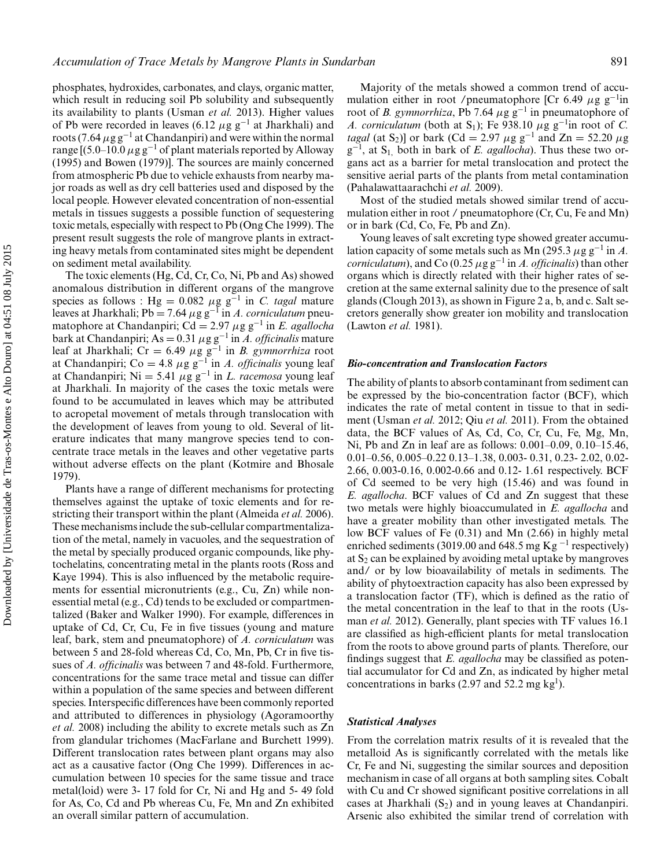its availability to plants (Usman *et al.* 2013). Higher values of Pb were recorded in leaves (6.12  $\mu$ g g<sup>-1</sup> at Jharkhali) and roots (7.64  $\mu$ g g<sup>-1</sup> at Chandanpiri) and were within the normal range [(5.0–10.0 *µ*g g−<sup>1</sup> of plant materials reported by Alloway (1995) and Bowen (1979)]. The sources are mainly concerned from atmospheric Pb due to vehicle exhausts from nearby major roads as well as dry cell batteries used and disposed by the local people. However elevated concentration of non-essential metals in tissues suggests a possible function of sequestering toxic metals, especially with respect to Pb (Ong Che 1999). The present result suggests the role of mangrove plants in extracting heavy metals from contaminated sites might be dependent on sediment metal availability.

The toxic elements (Hg, Cd, Cr, Co, Ni, Pb and As) showed anomalous distribution in different organs of the mangrove species as follows : Hg =  $0.082 \mu$ g g<sup>-1</sup> in *C. tagal* mature leaves at Jharkhali; Pb <sup>=</sup> 7.64 *<sup>µ</sup>*g g−<sup>1</sup> in *A. corniculatum* pneumatophore at Chandanpiri; Cd <sup>=</sup> 2.97 *<sup>µ</sup>*g g−<sup>1</sup> in *E. agallocha* bark at Chandanpiri; As <sup>=</sup> 0.31 *<sup>µ</sup>*g g−<sup>1</sup> in *A. officinalis* mature leaf at Jharkhali; Cr <sup>=</sup> 6.49 *<sup>µ</sup>*g g−<sup>1</sup> in *B. gymnorrhiza* root at Chandanpiri; Co = 4.8  $\mu$ g g<sup>-1</sup> in *A. officinalis* young leaf at Chandanpiri; Ni <sup>=</sup> 5.41 *<sup>µ</sup>*g g−<sup>1</sup> in *L. racemosa* young leaf at Jharkhali. In majority of the cases the toxic metals were found to be accumulated in leaves which may be attributed to acropetal movement of metals through translocation with the development of leaves from young to old. Several of literature indicates that many mangrove species tend to concentrate trace metals in the leaves and other vegetative parts without adverse effects on the plant (Kotmire and Bhosale 1979).

Plants have a range of different mechanisms for protecting themselves against the uptake of toxic elements and for restricting their transport within the plant (Almeida *et al.* 2006). These mechanisms include the sub-cellular compartmentalization of the metal, namely in vacuoles, and the sequestration of the metal by specially produced organic compounds, like phytochelatins, concentrating metal in the plants roots (Ross and Kaye 1994). This is also influenced by the metabolic requirements for essential micronutrients (e.g., Cu, Zn) while nonessential metal (e.g., Cd) tends to be excluded or compartmentalized (Baker and Walker 1990). For example, differences in uptake of Cd, Cr, Cu, Fe in five tissues (young and mature leaf, bark, stem and pneumatophore) of *A. corniculatum* was between 5 and 28-fold whereas Cd, Co, Mn, Pb, Cr in five tissues of *A. officinalis* was between 7 and 48-fold. Furthermore, concentrations for the same trace metal and tissue can differ within a population of the same species and between different species. Interspecific differences have been commonly reported and attributed to differences in physiology (Agoramoorthy *et al.* 2008) including the ability to excrete metals such as Zn from glandular trichomes (MacFarlane and Burchett 1999). Different translocation rates between plant organs may also act as a causative factor (Ong Che 1999). Differences in accumulation between 10 species for the same tissue and trace metal(loid) were 3- 17 fold for Cr, Ni and Hg and 5- 49 fold for As, Co, Cd and Pb whereas Cu, Fe, Mn and Zn exhibited an overall similar pattern of accumulation.

Majority of the metals showed a common trend of accumulation either in root /pneumatophore [Cr 6.49 *µ*g g−<sup>1</sup> in root of *B. gymnorrhiza*, Pb 7.64  $\mu$ g g<sup>-1</sup> in pneumatophore of *A. corniculatum* (both at S<sub>1</sub>); Fe 938.10  $\mu$ g g<sup>-1</sup>in root of *C*. *tagal* (at S<sub>2</sub>)] or bark (Cd = 2.97  $\mu$ g g<sup>-1</sup> and Zn = 52.20  $\mu$ g g<sup>-1</sup>, at S<sub>1</sub>, both in bark of *E. agallocha*). Thus these two organs act as a barrier for metal translocation and protect the sensitive aerial parts of the plants from metal contamination (Pahalawattaarachchi *et al.* 2009).

Most of the studied metals showed similar trend of accumulation either in root / pneumatophore (Cr, Cu, Fe and Mn) or in bark (Cd, Co, Fe, Pb and Zn).

Young leaves of salt excreting type showed greater accumulation capacity of some metals such as Mn (295.3  $\mu$ g g<sup>-1</sup> in *A*. *corniculatum*), and Co (0.25  $\mu$ g g<sup>-1</sup> in *A. officinalis*) than other organs which is directly related with their higher rates of secretion at the same external salinity due to the presence of salt glands (Clough 2013), as shown in Figure 2 a, b, and c. Salt secretors generally show greater ion mobility and translocation (Lawton *et al.* 1981).

#### *Bio-concentration and Translocation Factors*

The ability of plants to absorb contaminant from sediment can be expressed by the bio-concentration factor (BCF), which indicates the rate of metal content in tissue to that in sediment (Usman *et al.* 2012; Qiu *et al.* 2011). From the obtained data, the BCF values of As, Cd, Co, Cr, Cu, Fe, Mg, Mn, Ni, Pb and Zn in leaf are as follows: 0.001–0.09, 0.10–15.46, 0.01–0.56, 0.005–0.22 0.13–1.38, 0.003- 0.31, 0.23- 2.02, 0.02- 2.66, 0.003-0.16, 0.002-0.66 and 0.12- 1.61 respectively. BCF of Cd seemed to be very high (15.46) and was found in *E. agallocha*. BCF values of Cd and Zn suggest that these two metals were highly bioaccumulated in *E. agallocha* and have a greater mobility than other investigated metals. The low BCF values of Fe (0.31) and Mn (2.66) in highly metal enriched sediments (3019.00 and 648.5 mg Kg<sup>-1</sup> respectively) at  $S_2$  can be explained by avoiding metal uptake by mangroves and/ or by low bioavailability of metals in sediments. The ability of phytoextraction capacity has also been expressed by a translocation factor (TF), which is defined as the ratio of the metal concentration in the leaf to that in the roots (Usman *et al.* 2012). Generally, plant species with TF values 16.1 are classified as high-efficient plants for metal translocation from the roots to above ground parts of plants. Therefore, our findings suggest that *E. agallocha* may be classified as potential accumulator for Cd and Zn, as indicated by higher metal concentrations in barks (2.97 and 52.2 mg kg<sup>1</sup>).

#### *Statistical Analyses*

From the correlation matrix results of it is revealed that the metalloid As is significantly correlated with the metals like Cr, Fe and Ni, suggesting the similar sources and deposition mechanism in case of all organs at both sampling sites. Cobalt with Cu and Cr showed significant positive correlations in all cases at Jharkhali  $(S_2)$  and in young leaves at Chandanpiri. Arsenic also exhibited the similar trend of correlation with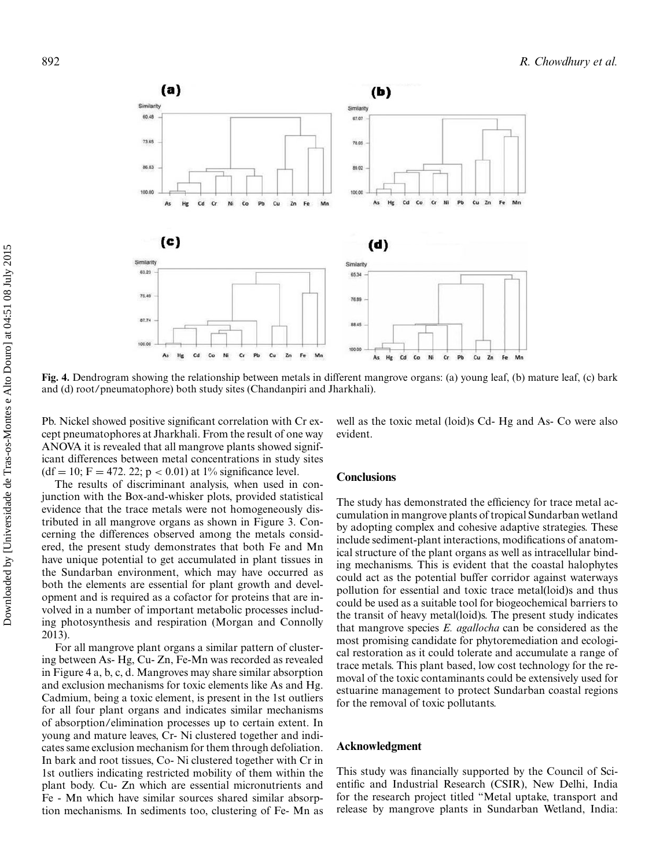

**Fig. 4.** Dendrogram showing the relationship between metals in different mangrove organs: (a) young leaf, (b) mature leaf, (c) bark and (d) root/pneumatophore) both study sites (Chandanpiri and Jharkhali).

Pb. Nickel showed positive significant correlation with Cr except pneumatophores at Jharkhali. From the result of one way ANOVA it is revealed that all mangrove plants showed significant differences between metal concentrations in study sites  $(df = 10; F = 472, 22; p < 0.01)$  at 1% significance level.

The results of discriminant analysis, when used in conjunction with the Box-and-whisker plots, provided statistical evidence that the trace metals were not homogeneously distributed in all mangrove organs as shown in Figure 3. Concerning the differences observed among the metals considered, the present study demonstrates that both Fe and Mn have unique potential to get accumulated in plant tissues in the Sundarban environment, which may have occurred as both the elements are essential for plant growth and development and is required as a cofactor for proteins that are involved in a number of important metabolic processes including photosynthesis and respiration (Morgan and Connolly 2013).

For all mangrove plant organs a similar pattern of clustering between As- Hg, Cu- Zn, Fe-Mn was recorded as revealed in Figure 4 a, b, c, d. Mangroves may share similar absorption and exclusion mechanisms for toxic elements like As and Hg. Cadmium, being a toxic element, is present in the 1st outliers for all four plant organs and indicates similar mechanisms of absorption/elimination processes up to certain extent. In young and mature leaves, Cr- Ni clustered together and indicates same exclusion mechanism for them through defoliation. In bark and root tissues, Co- Ni clustered together with Cr in 1st outliers indicating restricted mobility of them within the plant body. Cu- Zn which are essential micronutrients and Fe - Mn which have similar sources shared similar absorption mechanisms. In sediments too, clustering of Fe- Mn as well as the toxic metal (loid)s Cd- Hg and As- Co were also evident.

#### **Conclusions**

The study has demonstrated the efficiency for trace metal accumulation in mangrove plants of tropical Sundarban wetland by adopting complex and cohesive adaptive strategies. These include sediment-plant interactions, modifications of anatomical structure of the plant organs as well as intracellular binding mechanisms. This is evident that the coastal halophytes could act as the potential buffer corridor against waterways pollution for essential and toxic trace metal(loid)s and thus could be used as a suitable tool for biogeochemical barriers to the transit of heavy metal(loid)s. The present study indicates that mangrove species *E. agallocha* can be considered as the most promising candidate for phytoremediation and ecological restoration as it could tolerate and accumulate a range of trace metals. This plant based, low cost technology for the removal of the toxic contaminants could be extensively used for estuarine management to protect Sundarban coastal regions for the removal of toxic pollutants.

#### **Acknowledgment**

This study was financially supported by the Council of Scientific and Industrial Research (CSIR), New Delhi, India for the research project titled "Metal uptake, transport and release by mangrove plants in Sundarban Wetland, India: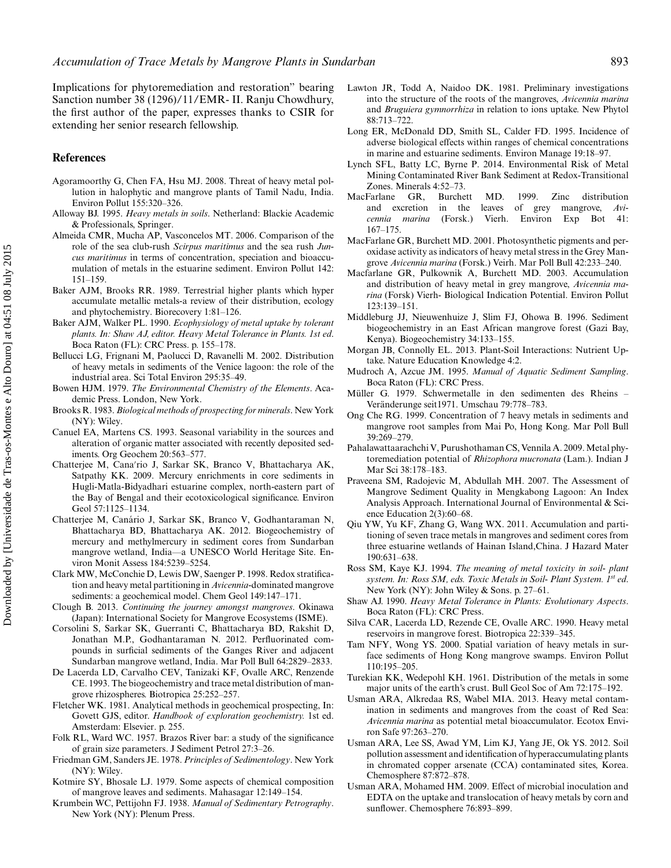Implications for phytoremediation and restoration" bearing Sanction number 38 (1296)/11/EMR- II. Ranju Chowdhury, the first author of the paper, expresses thanks to CSIR for extending her senior research fellowship.

#### **References**

- Agoramoorthy G, Chen FA, Hsu MJ. 2008. Threat of heavy metal pollution in halophytic and mangrove plants of Tamil Nadu, India. Environ Pollut 155:320–326.
- Alloway BJ. 1995. *Heavy metals in soils*. Netherland: Blackie Academic & Professionals, Springer.
- Almeida CMR, Mucha AP, Vasconcelos MT. 2006. Comparison of the role of the sea club-rush *Scirpus maritimus* and the sea rush *Juncus maritimus* in terms of concentration, speciation and bioaccumulation of metals in the estuarine sediment. Environ Pollut 142: 151–159.
- Baker AJM, Brooks RR. 1989. Terrestrial higher plants which hyper accumulate metallic metals-a review of their distribution, ecology and phytochemistry. Biorecovery 1:81–126.
- Baker AJM, Walker PL. 1990. *Ecophysiology of metal uptake by tolerant plants. In: Shaw AJ, editor. Heavy Metal Tolerance in Plants. 1st ed*. Boca Raton (FL): CRC Press. p. 155–178.
- Bellucci LG, Frignani M, Paolucci D, Ravanelli M. 2002. Distribution of heavy metals in sediments of the Venice lagoon: the role of the industrial area. Sci Total Environ 295:35–49.
- Bowen HJM. 1979. *The Environmental Chemistry of the Elements*. Academic Press. London, New York.
- Brooks R. 1983. *Biological methods of prospecting for minerals*. New York (NY): Wiley.
- Canuel EA, Martens CS. 1993. Seasonal variability in the sources and alteration of organic matter associated with recently deposited sediments. Org Geochem 20:563–577.
- Chatterjee M, Cana'rio J, Sarkar SK, Branco V, Bhattacharya AK, Satpathy KK. 2009. Mercury enrichments in core sediments in Hugli-Matla-Bidyadhari estuarine complex, north-eastern part of the Bay of Bengal and their ecotoxicological significance. Environ Geol 57:1125–1134.
- Chatterjee M, Canário J, Sarkar SK, Branco V, Godhantaraman N, Bhattacharya BD, Bhattacharya AK. 2012. Biogeochemistry of mercury and methylmercury in sediment cores from Sundarban mangrove wetland, India—a UNESCO World Heritage Site. Environ Monit Assess 184:5239–5254.
- Clark MW, McConchie D, Lewis DW, Saenger P. 1998. Redox stratification and heavy metal partitioning in *Avicennia*-dominated mangrove sediments: a geochemical model. Chem Geol 149:147–171.
- Clough B. 2013. *Continuing the journey amongst mangroves*. Okinawa (Japan): International Society for Mangrove Ecosystems (ISME).
- Corsolini S, Sarkar SK, Guerranti C, Bhattacharya BD, Rakshit D, Jonathan M.P., Godhantaraman N. 2012. Perfluorinated compounds in surficial sediments of the Ganges River and adjacent Sundarban mangrove wetland, India. Mar Poll Bull 64:2829–2833.
- De Lacerda LD, Carvalho CEV, Tanizaki KF, Ovalle ARC, Renzende CE. 1993. The biogeochemistry and trace metal distribution of mangrove rhizospheres. Biotropica 25:252–257.
- Fletcher WK. 1981. Analytical methods in geochemical prospecting, In: Govett GJS, editor. *Handbook of exploration geochemistry.* 1st ed. Amsterdam: Elsevier. p. 255.
- Folk RL, Ward WC. 1957. Brazos River bar: a study of the significance of grain size parameters. J Sediment Petrol 27:3–26.
- Friedman GM, Sanders JE. 1978. *Principles of Sedimentology*. New York (NY): Wiley.
- Kotmire SY, Bhosale LJ. 1979. Some aspects of chemical composition of mangrove leaves and sediments. Mahasagar 12:149–154.
- Krumbein WC, Pettijohn FJ. 1938. *Manual of Sedimentary Petrography*. New York (NY): Plenum Press.
- Lawton JR, Todd A, Naidoo DK. 1981. Preliminary investigations into the structure of the roots of the mangroves, *Avicennia marina* and *Bruguiera gymnorrhiza* in relation to ions uptake. New Phytol 88:713–722.
- Long ER, McDonald DD, Smith SL, Calder FD. 1995. Incidence of adverse biological effects within ranges of chemical concentrations in marine and estuarine sediments. Environ Manage 19:18–97.
- Lynch SFL, Batty LC, Byrne P. 2014. Environmental Risk of Metal Mining Contaminated River Bank Sediment at Redox-Transitional Zones. Minerals 4:52–73.
- MacFarlane GR, Burchett MD. 1999. Zinc distribution and excretion in the leaves of grey mangrove, *Avicennia marina* (Forsk.) Vierh. Environ Exp Bot 41: 167–175.
- MacFarlane GR, Burchett MD. 2001. Photosynthetic pigments and peroxidase activity as indicators of heavy metal stress in the Grey Mangrove *Avicennia marina* (Forsk.) Veirh. Mar Poll Bull 42:233–240.
- Macfarlane GR, Pulkownik A, Burchett MD. 2003. Accumulation and distribution of heavy metal in grey mangrove, *Avicennia marina* (Forsk) Vierh- Biological Indication Potential. Environ Pollut 123:139–151.
- Middleburg JJ, Nieuwenhuize J, Slim FJ, Ohowa B. 1996. Sediment biogeochemistry in an East African mangrove forest (Gazi Bay, Kenya). Biogeochemistry 34:133–155.
- Morgan JB, Connolly EL. 2013. Plant-Soil Interactions: Nutrient Uptake. Nature Education Knowledge 4:2.
- Mudroch A, Azcue JM. 1995. *Manual of Aquatic Sediment Sampling*. Boca Raton (FL): CRC Press.
- Müller G. 1979. Schwermetalle in den sedimenten des Rheins Veränderunge seit1971. Umschau 79:778-783.
- Ong Che RG. 1999. Concentration of 7 heavy metals in sediments and mangrove root samples from Mai Po, Hong Kong. Mar Poll Bull 39:269–279.
- Pahalawattaarachchi V, Purushothaman CS, Vennila A. 2009. Metal phytoremediation potential of *Rhizophora mucronata* (Lam.). Indian J Mar Sci 38:178–183.
- Praveena SM, Radojevic M, Abdullah MH. 2007. The Assessment of Mangrove Sediment Quality in Mengkabong Lagoon: An Index Analysis Approach. International Journal of Environmental & Science Education 2(3):60–68.
- Qiu YW, Yu KF, Zhang G, Wang WX. 2011. Accumulation and partitioning of seven trace metals in mangroves and sediment cores from three estuarine wetlands of Hainan Island,China. J Hazard Mater 190:631–638.
- Ross SM, Kaye KJ. 1994. *The meaning of metal toxicity in soil- plant system. In: Ross SM, eds. Toxic Metals in Soil- Plant System. 1st ed*. New York (NY): John Wiley & Sons. p. 27–61.
- Shaw AJ. 1990. *Heavy Metal Tolerance in Plants: Evolutionary Aspects*. Boca Raton (FL): CRC Press.
- Silva CAR, Lacerda LD, Rezende CE, Ovalle ARC. 1990. Heavy metal reservoirs in mangrove forest. Biotropica 22:339–345.
- Tam NFY, Wong YS. 2000. Spatial variation of heavy metals in surface sediments of Hong Kong mangrove swamps. Environ Pollut 110:195–205.
- Turekian KK, Wedepohl KH. 1961. Distribution of the metals in some major units of the earth's crust. Bull Geol Soc of Am 72:175–192.
- Usman ARA, Alkredaa RS, Wabel MIA. 2013. Heavy metal contamination in sediments and mangroves from the coast of Red Sea: *Avicennia marina* as potential metal bioaccumulator. Ecotox Environ Safe 97:263–270.
- Usman ARA, Lee SS, Awad YM, Lim KJ, Yang JE, Ok YS. 2012. Soil pollution assessment and identification of hyperaccumulating plants in chromated copper arsenate (CCA) contaminated sites, Korea. Chemosphere 87:872–878.
- Usman ARA, Mohamed HM. 2009. Effect of microbial inoculation and EDTA on the uptake and translocation of heavy metals by corn and sunflower. Chemosphere 76:893–899.